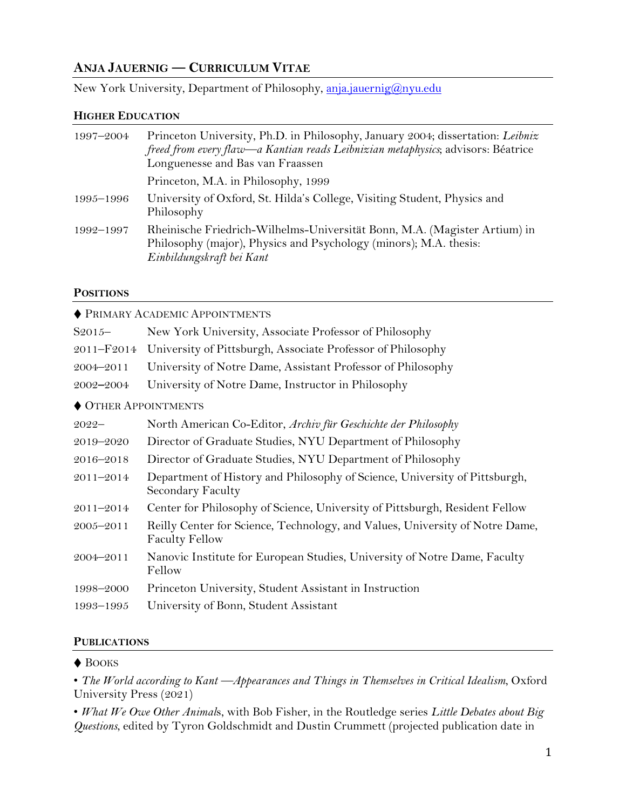# **ANJA JAUERNIG ― CURRICULUM VITAE**

New York University, Department of Philosophy, [anja.jauernig@nyu.edu](mailto:anja.jauernig@nyu.edu)

#### **HIGHER EDUCATION**

| 1997-2004 | Princeton University, Ph.D. in Philosophy, January 2004; dissertation: Leibniz<br>freed from every flaw—a Kantian reads Leibnizian metaphysics; advisors: Béatrice<br>Longuenesse and Bas van Fraassen |
|-----------|--------------------------------------------------------------------------------------------------------------------------------------------------------------------------------------------------------|
|           | Princeton, M.A. in Philosophy, 1999                                                                                                                                                                    |
| 1995–1996 | University of Oxford, St. Hilda's College, Visiting Student, Physics and<br>Philosophy                                                                                                                 |
| 1992-1997 | Rheinische Friedrich-Wilhelms-Universität Bonn, M.A. (Magister Artium) in<br>Philosophy (major), Physics and Psychology (minors); M.A. thesis:<br>Einbildungskraft bei Kant                            |

## **POSITIONS**

| <b>NET PRIMARY ACADEMIC APPOINTMENTS</b> |                                                                                                       |  |
|------------------------------------------|-------------------------------------------------------------------------------------------------------|--|
| $S2015-$                                 | New York University, Associate Professor of Philosophy                                                |  |
| 2011-F2014                               | University of Pittsburgh, Associate Professor of Philosophy                                           |  |
| 2004-2011                                | University of Notre Dame, Assistant Professor of Philosophy                                           |  |
| 2002-2004                                | University of Notre Dame, Instructor in Philosophy                                                    |  |
| ♦ OTHER APPOINTMENTS                     |                                                                                                       |  |
| $2022 -$                                 | North American Co-Editor, Archiv für Geschichte der Philosophy                                        |  |
| 2019-2020                                | Director of Graduate Studies, NYU Department of Philosophy                                            |  |
| 2016-2018                                | Director of Graduate Studies, NYU Department of Philosophy                                            |  |
| 2011-2014                                | Department of History and Philosophy of Science, University of Pittsburgh,<br>Secondary Faculty       |  |
| 2011-2014                                | Center for Philosophy of Science, University of Pittsburgh, Resident Fellow                           |  |
| $2005 - 2011$                            | Reilly Center for Science, Technology, and Values, University of Notre Dame,<br><b>Faculty Fellow</b> |  |
| 2004-2011                                | Nanovic Institute for European Studies, University of Notre Dame, Faculty<br>Fellow                   |  |
| 1998-2000                                | Princeton University, Student Assistant in Instruction                                                |  |
| 1993-1995                                | University of Bonn, Student Assistant                                                                 |  |
|                                          |                                                                                                       |  |

## **PUBLICATIONS**

#### ♦ BOOKS

• *The World according to Kant —Appearances and Things in Themselves in Critical Idealism*, Oxford University Press (2021)

• *What We Owe Other Animal*s, with Bob Fisher, in the Routledge series *Little Debates about Big Questions*, edited by Tyron Goldschmidt and Dustin Crummett (projected publication date in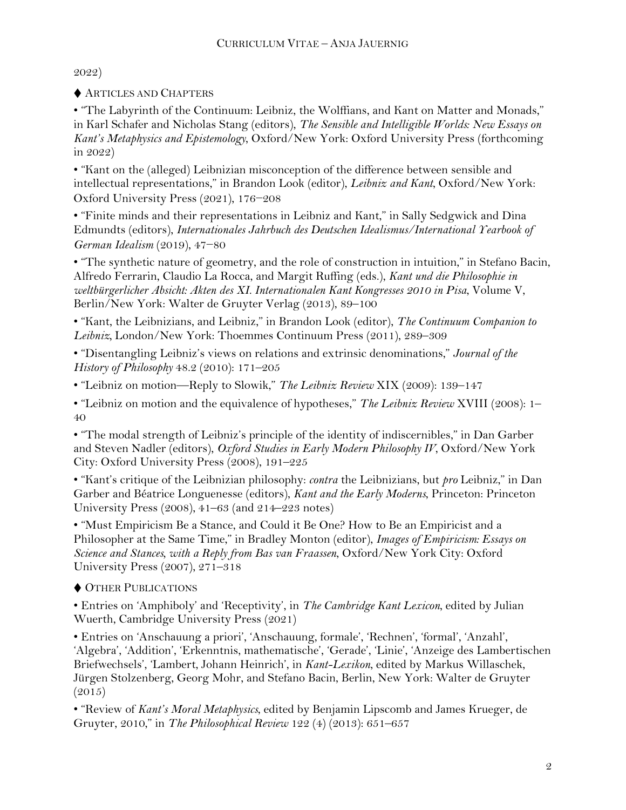2022)

♦ ARTICLES AND CHAPTERS

• "The Labyrinth of the Continuum: Leibniz, the Wolffians, and Kant on Matter and Monads," in Karl Schafer and Nicholas Stang (editors), *The Sensible and Intelligible Worlds: New Essays on Kant's Metaphysics and Epistemology*, Oxford/New York: Oxford University Press (forthcoming in 2022)

• "Kant on the (alleged) Leibnizian misconception of the difference between sensible and intellectual representations," in Brandon Look (editor), *Leibniz and Kant*, Oxford/New York: Oxford University Press (2021), 176−208

• "Finite minds and their representations in Leibniz and Kant," in Sally Sedgwick and Dina Edmundts (editors), *Internationales Jahrbuch des Deutschen Idealismus/International Yearbook of German Idealism* (2019), 47−80

• "The synthetic nature of geometry, and the role of construction in intuition," in Stefano Bacin, Alfredo Ferrarin, Claudio La Rocca, and Margit Ruffing (eds.), *Kant und die Philosophie in weltbürgerlicher Absicht: Akten des XI. Internationalen Kant Kongresses 2010 in Pisa*, Volume V, Berlin/New York: Walter de Gruyter Verlag (2013), 89–100

• "Kant, the Leibnizians, and Leibniz," in Brandon Look (editor), *The Continuum Companion to Leibniz,* London/New York: Thoemmes Continuum Press (2011), 289–309

• "Disentangling Leibniz's views on relations and extrinsic denominations," *Journal of the History of Philosophy* 48.2 (2010): 171–205

• "Leibniz on motion—Reply to Slowik," *The Leibniz Review* XIX (2009): 139–147

• "Leibniz on motion and the equivalence of hypotheses," *The Leibniz Review* XVIII (2008): 1– 40

• "The modal strength of Leibniz's principle of the identity of indiscernibles," in Dan Garber and Steven Nadler (editors), *Oxford Studies in Early Modern Philosophy IV*, Oxford/New York City: Oxford University Press (2008), 191–225

• "Kant's critique of the Leibnizian philosophy: *contra* the Leibnizians, but *pro* Leibniz," in Dan Garber and Béatrice Longuenesse (editors), *Kant and the Early Moderns*, Princeton: Princeton University Press (2008), 41–63 (and 214–223 notes)

• "Must Empiricism Be a Stance, and Could it Be One? How to Be an Empiricist and a Philosopher at the Same Time," in Bradley Monton (editor), *Images of Empiricism: Essays on Science and Stances, with a Reply from Bas van Fraassen*, Oxford/New York City: Oxford University Press (2007), 271–318

♦ OTHER PUBLICATIONS

• Entries on 'Amphiboly' and 'Receptivity', in *The Cambridge Kant Lexicon*, edited by Julian Wuerth, Cambridge University Press (2021)

• Entries on 'Anschauung a priori', 'Anschauung, formale', 'Rechnen', 'formal', 'Anzahl', 'Algebra', 'Addition', 'Erkenntnis, mathematische', 'Gerade', 'Linie', 'Anzeige des Lambertischen Briefwechsels', 'Lambert, Johann Heinrich', in *Kant-Lexikon*, edited by Markus Willaschek, Jürgen Stolzenberg, Georg Mohr, and Stefano Bacin, Berlin, New York: Walter de Gruyter  $(2015)$ 

• "Review of *Kant's Moral Metaphysics*, edited by Benjamin Lipscomb and James Krueger, de Gruyter, 2010," in *The Philosophical Review* 122 (4) (2013): 651–657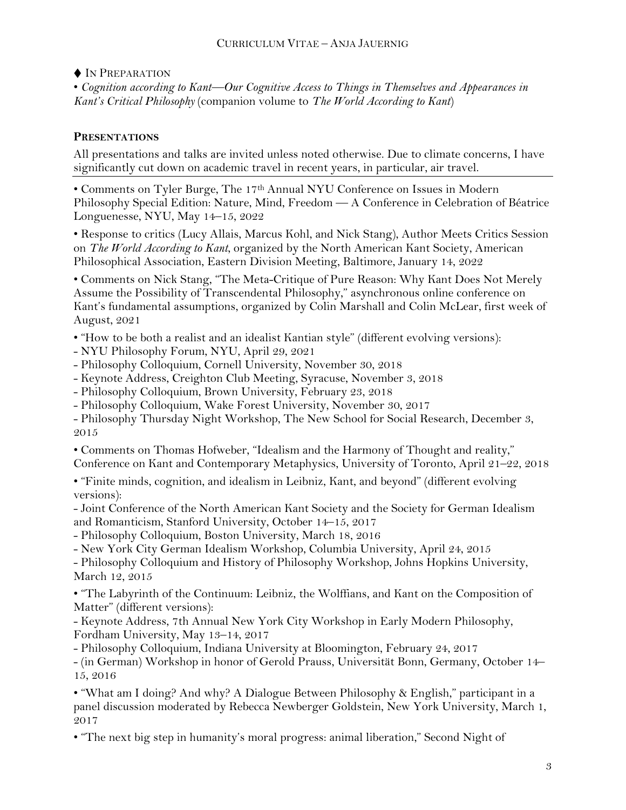## CURRICULUM VITAE – ANJA JAUERNIG

♦ IN PREPARATION • *Cognition according to Kant—Our Cognitive Access to Things in Themselves and Appearances in Kant's Critical Philosophy* (companion volume to *The World According to Kant*)

## **PRESENTATIONS**

All presentations and talks are invited unless noted otherwise. Due to climate concerns, I have significantly cut down on academic travel in recent years, in particular, air travel.

• Comments on Tyler Burge, The 17th Annual NYU Conference on Issues in Modern Philosophy Special Edition: Nature, Mind, Freedom — A Conference in Celebration of Béatrice Longuenesse, NYU, May 14–15, 2022

• Response to critics (Lucy Allais, Marcus Kohl, and Nick Stang), Author Meets Critics Session on *The World According to Kant*, organized by the North American Kant Society, American Philosophical Association, Eastern Division Meeting, Baltimore, January 14, 2022

• Comments on Nick Stang, "The Meta-Critique of Pure Reason: Why Kant Does Not Merely Assume the Possibility of Transcendental Philosophy," asynchronous online conference on Kant's fundamental assumptions, organized by Colin Marshall and Colin McLear, first week of August, 2021

• "How to be both a realist and an idealist Kantian style" (different evolving versions):

- NYU Philosophy Forum, NYU, April 29, 2021
- Philosophy Colloquium, Cornell University, November 30, 2018
- Keynote Address, Creighton Club Meeting, Syracuse, November 3, 2018
- Philosophy Colloquium, Brown University, February 23, 2018
- Philosophy Colloquium, Wake Forest University, November 30, 2017
- Philosophy Thursday Night Workshop, The New School for Social Research, December 3, 2015

• Comments on Thomas Hofweber, "Idealism and the Harmony of Thought and reality," Conference on Kant and Contemporary Metaphysics, University of Toronto, April 21–22, 2018

• "Finite minds, cognition, and idealism in Leibniz, Kant, and beyond" (different evolving versions):

- Joint Conference of the North American Kant Society and the Society for German Idealism and Romanticism, Stanford University, October 14–15, 2017

- Philosophy Colloquium, Boston University, March 18, 2016

- New York City German Idealism Workshop, Columbia University, April 24, 2015

- Philosophy Colloquium and History of Philosophy Workshop, Johns Hopkins University, March 12, 2015

• "The Labyrinth of the Continuum: Leibniz, the Wolffians, and Kant on the Composition of Matter" (different versions):

- Keynote Address, 7th Annual New York City Workshop in Early Modern Philosophy, Fordham University, May 13–14, 2017

- Philosophy Colloquium, Indiana University at Bloomington, February 24, 2017

- (in German) Workshop in honor of Gerold Prauss, Universität Bonn, Germany, October 14– 15, 2016

• "What am I doing? And why? A Dialogue Between Philosophy & English," participant in a panel discussion moderated by Rebecca Newberger Goldstein, New York University, March 1, 2017

• "The next big step in humanity's moral progress: animal liberation," Second Night of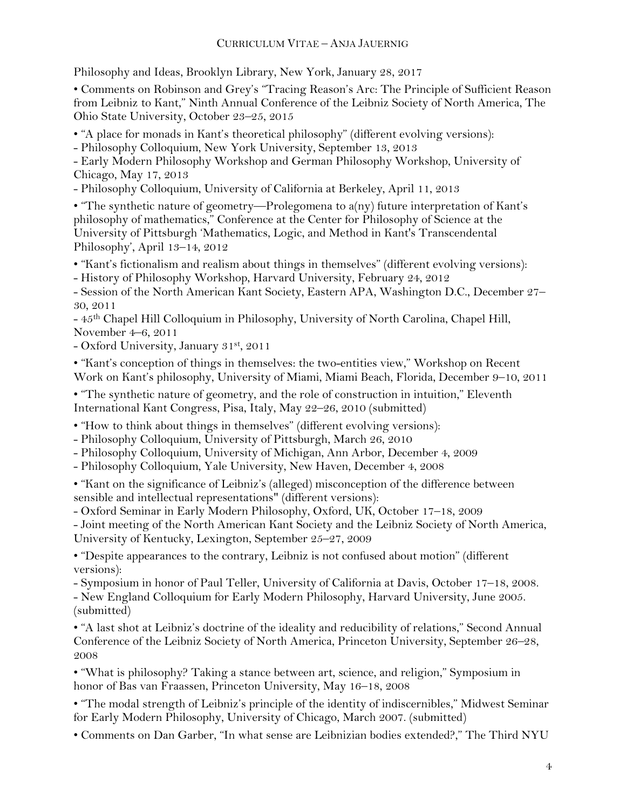Philosophy and Ideas, Brooklyn Library, New York, January 28, 2017

• Comments on Robinson and Grey's "Tracing Reason's Arc: The Principle of Sufficient Reason from Leibniz to Kant," Ninth Annual Conference of the Leibniz Society of North America, The Ohio State University, October 23–25, 2015

• "A place for monads in Kant's theoretical philosophy" (different evolving versions):

- Philosophy Colloquium, New York University, September 13, 2013

- Early Modern Philosophy Workshop and German Philosophy Workshop, University of Chicago, May 17, 2013

- Philosophy Colloquium, University of California at Berkeley, April 11, 2013

• "The synthetic nature of geometry—Prolegomena to a(ny) future interpretation of Kant's philosophy of mathematics," Conference at the Center for Philosophy of Science at the University of Pittsburgh 'Mathematics, Logic, and Method in Kant's Transcendental Philosophy', April 13–14, 2012

• "Kant's fictionalism and realism about things in themselves" (different evolving versions):

- History of Philosophy Workshop, Harvard University, February 24, 2012

- Session of the North American Kant Society, Eastern APA, Washington D.C., December 27– 30, 2011

- 45th Chapel Hill Colloquium in Philosophy, University of North Carolina, Chapel Hill, November 4–6, 2011

- Oxford University, January 31st, 2011

• "Kant's conception of things in themselves: the two-entities view," Workshop on Recent Work on Kant's philosophy, University of Miami, Miami Beach, Florida, December 9–10, 2011

• "The synthetic nature of geometry, and the role of construction in intuition," Eleventh International Kant Congress, Pisa, Italy, May 22–26, 2010 (submitted)

• "How to think about things in themselves" (different evolving versions):

- Philosophy Colloquium, University of Pittsburgh, March 26, 2010

- Philosophy Colloquium, University of Michigan, Ann Arbor, December 4, 2009

- Philosophy Colloquium, Yale University, New Haven, December 4, 2008

• "Kant on the significance of Leibniz's (alleged) misconception of the difference between sensible and intellectual representations" (different versions):

- Oxford Seminar in Early Modern Philosophy, Oxford, UK, October 17–18, 2009

- Joint meeting of the North American Kant Society and the Leibniz Society of North America, University of Kentucky, Lexington, September 25–27, 2009

• "Despite appearances to the contrary, Leibniz is not confused about motion" (different versions):

- Symposium in honor of Paul Teller, University of California at Davis, October 17–18, 2008.

- New England Colloquium for Early Modern Philosophy, Harvard University, June 2005. (submitted)

• "A last shot at Leibniz's doctrine of the ideality and reducibility of relations," Second Annual Conference of the Leibniz Society of North America, Princeton University, September 26–28, 2008

• "What is philosophy? Taking a stance between art, science, and religion," Symposium in honor of Bas van Fraassen, Princeton University, May 16-18, 2008

• "The modal strength of Leibniz's principle of the identity of indiscernibles," Midwest Seminar for Early Modern Philosophy, University of Chicago, March 2007. (submitted)

• Comments on Dan Garber, "In what sense are Leibnizian bodies extended?," The Third NYU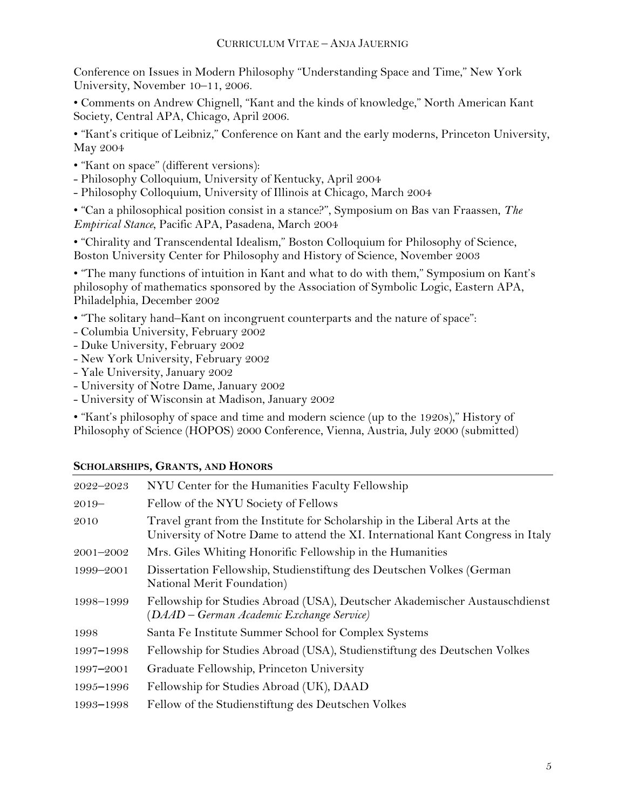Conference on Issues in Modern Philosophy "Understanding Space and Time," New York University, November 10–11, 2006.

• Comments on Andrew Chignell, "Kant and the kinds of knowledge," North American Kant Society, Central APA, Chicago, April 2006.

• "Kant's critique of Leibniz," Conference on Kant and the early moderns, Princeton University, May 2004

- "Kant on space" (different versions):
- Philosophy Colloquium, University of Kentucky, April 2004
- Philosophy Colloquium, University of Illinois at Chicago, March 2004

• "Can a philosophical position consist in a stance?", Symposium on Bas van Fraassen, *The Empirical Stance*, Pacific APA, Pasadena, March 2004

• "Chirality and Transcendental Idealism," Boston Colloquium for Philosophy of Science, Boston University Center for Philosophy and History of Science, November 2003

• "The many functions of intuition in Kant and what to do with them," Symposium on Kant's philosophy of mathematics sponsored by the Association of Symbolic Logic, Eastern APA, Philadelphia, December 2002

- "The solitary hand–Kant on incongruent counterparts and the nature of space":
- Columbia University, February 2002
- Duke University, February 2002
- New York University, February 2002
- Yale University, January 2002
- University of Notre Dame, January 2002
- University of Wisconsin at Madison, January 2002

• "Kant's philosophy of space and time and modern science (up to the 1920s)," History of Philosophy of Science (HOPOS) 2000 Conference, Vienna, Austria, July 2000 (submitted)

| $2022 - 2023$ | NYU Center for the Humanities Faculty Fellowship                                                                                                              |
|---------------|---------------------------------------------------------------------------------------------------------------------------------------------------------------|
| $2019-$       | Fellow of the NYU Society of Fellows                                                                                                                          |
| 2010          | Travel grant from the Institute for Scholarship in the Liberal Arts at the<br>University of Notre Dame to attend the XI. International Kant Congress in Italy |
| $2001 - 2002$ | Mrs. Giles Whiting Honorific Fellowship in the Humanities                                                                                                     |
| 1999–2001     | Dissertation Fellowship, Studienstiftung des Deutschen Volkes (German<br>National Merit Foundation)                                                           |
| 1998-1999     | Fellowship for Studies Abroad (USA), Deutscher Akademischer Austauschdienst<br>(DAAD – German Academic Exchange Service)                                      |
| 1998          | Santa Fe Institute Summer School for Complex Systems                                                                                                          |
| 1997-1998     | Fellowship for Studies Abroad (USA), Studienstiftung des Deutschen Volkes                                                                                     |
| 1997–2001     | Graduate Fellowship, Princeton University                                                                                                                     |
| 1995–1996     | Fellowship for Studies Abroad (UK), DAAD                                                                                                                      |
| 1993-1998     | Fellow of the Studienstiftung des Deutschen Volkes                                                                                                            |

## **SCHOLARSHIPS, GRANTS, AND HONORS**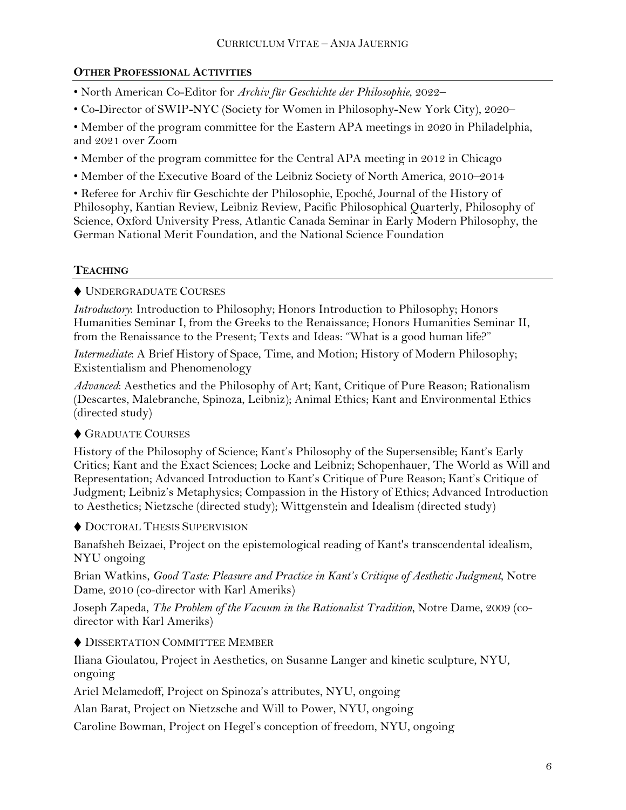# **OTHER PROFESSIONAL ACTIVITIES**

- North American Co-Editor for *Archiv für Geschichte der Philosophie*, 2022–
- Co-Director of SWIP-NYC (Society for Women in Philosophy-New York City), 2020–

• Member of the program committee for the Eastern APA meetings in 2020 in Philadelphia, and 2021 over Zoom

- Member of the program committee for the Central APA meeting in 2012 in Chicago
- Member of the Executive Board of the Leibniz Society of North America, 2010–2014

• Referee for Archiv für Geschichte der Philosophie, Epoché, Journal of the History of Philosophy, Kantian Review, Leibniz Review, Pacific Philosophical Quarterly, Philosophy of Science, Oxford University Press, Atlantic Canada Seminar in Early Modern Philosophy, the German National Merit Foundation, and the National Science Foundation

# **TEACHING**

♦ UNDERGRADUATE COURSES

*Introductory*: Introduction to Philosophy; Honors Introduction to Philosophy; Honors Humanities Seminar I, from the Greeks to the Renaissance; Honors Humanities Seminar II, from the Renaissance to the Present; Texts and Ideas: "What is a good human life?"

*Intermediate*: A Brief History of Space, Time, and Motion; History of Modern Philosophy; Existentialism and Phenomenology

*Advanced*: Aesthetics and the Philosophy of Art; Kant, Critique of Pure Reason; Rationalism (Descartes, Malebranche, Spinoza, Leibniz); Animal Ethics; Kant and Environmental Ethics (directed study)

# ♦ GRADUATE COURSES

History of the Philosophy of Science; Kant's Philosophy of the Supersensible; Kant's Early Critics; Kant and the Exact Sciences; Locke and Leibniz; Schopenhauer, The World as Will and Representation; Advanced Introduction to Kant's Critique of Pure Reason; Kant's Critique of Judgment; Leibniz's Metaphysics; Compassion in the History of Ethics; Advanced Introduction to Aesthetics; Nietzsche (directed study); Wittgenstein and Idealism (directed study)

♦ DOCTORAL THESIS SUPERVISION

Banafsheh Beizaei, Project on the epistemological reading of Kant's transcendental idealism, NYU ongoing

Brian Watkins, *Good Taste: Pleasure and Practice in Kant's Critique of Aesthetic Judgment*, Notre Dame, 2010 (co-director with Karl Ameriks)

Joseph Zapeda, *The Problem of the Vacuum in the Rationalist Tradition*, Notre Dame, 2009 (codirector with Karl Ameriks)

♦ DISSERTATION COMMITTEE MEMBER

Iliana Gioulatou, Project in Aesthetics, on Susanne Langer and kinetic sculpture, NYU, ongoing

Ariel Melamedoff, Project on Spinoza's attributes, NYU, ongoing

Alan Barat, Project on Nietzsche and Will to Power, NYU, ongoing

Caroline Bowman, Project on Hegel's conception of freedom, NYU, ongoing